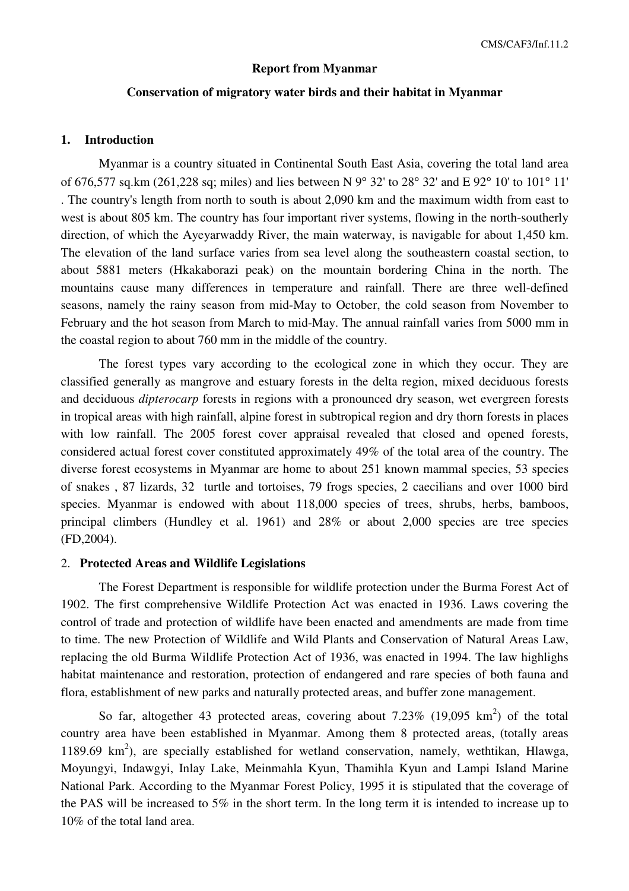#### **Report from Myanmar**

#### **Conservation of migratory water birds and their habitat in Myanmar**

## **1. Introduction**

 Myanmar is a country situated in Continental South East Asia, covering the total land area of 676,577 sq.km (261,228 sq; miles) and lies between N 9° 32' to 28° 32' and E 92° 10' to 101° 11' . The country's length from north to south is about 2,090 km and the maximum width from east to west is about 805 km. The country has four important river systems, flowing in the north-southerly direction, of which the Ayeyarwaddy River, the main waterway, is navigable for about 1,450 km. The elevation of the land surface varies from sea level along the southeastern coastal section, to about 5881 meters (Hkakaborazi peak) on the mountain bordering China in the north. The mountains cause many differences in temperature and rainfall. There are three well-defined seasons, namely the rainy season from mid-May to October, the cold season from November to February and the hot season from March to mid-May. The annual rainfall varies from 5000 mm in the coastal region to about 760 mm in the middle of the country.

The forest types vary according to the ecological zone in which they occur. They are classified generally as mangrove and estuary forests in the delta region, mixed deciduous forests and deciduous *dipterocarp* forests in regions with a pronounced dry season, wet evergreen forests in tropical areas with high rainfall, alpine forest in subtropical region and dry thorn forests in places with low rainfall. The 2005 forest cover appraisal revealed that closed and opened forests, considered actual forest cover constituted approximately 49% of the total area of the country. The diverse forest ecosystems in Myanmar are home to about 251 known mammal species, 53 species of snakes , 87 lizards, 32 turtle and tortoises, 79 frogs species, 2 caecilians and over 1000 bird species. Myanmar is endowed with about 118,000 species of trees, shrubs, herbs, bamboos, principal climbers (Hundley et al. 1961) and 28% or about 2,000 species are tree species (FD,2004).

## 2. **Protected Areas and Wildlife Legislations**

The Forest Department is responsible for wildlife protection under the Burma Forest Act of 1902. The first comprehensive Wildlife Protection Act was enacted in 1936. Laws covering the control of trade and protection of wildlife have been enacted and amendments are made from time to time. The new Protection of Wildlife and Wild Plants and Conservation of Natural Areas Law, replacing the old Burma Wildlife Protection Act of 1936, was enacted in 1994. The law highlighs habitat maintenance and restoration, protection of endangered and rare species of both fauna and flora, establishment of new parks and naturally protected areas, and buffer zone management.

So far, altogether 43 protected areas, covering about  $7.23\%$  (19,095 km<sup>2</sup>) of the total country area have been established in Myanmar. Among them 8 protected areas, (totally areas 1189.69  $\text{km}^2$ ), are specially established for wetland conservation, namely, wethtikan, Hlawga, Moyungyi, Indawgyi, Inlay Lake, Meinmahla Kyun, Thamihla Kyun and Lampi Island Marine National Park. According to the Myanmar Forest Policy, 1995 it is stipulated that the coverage of the PAS will be increased to 5% in the short term. In the long term it is intended to increase up to 10% of the total land area.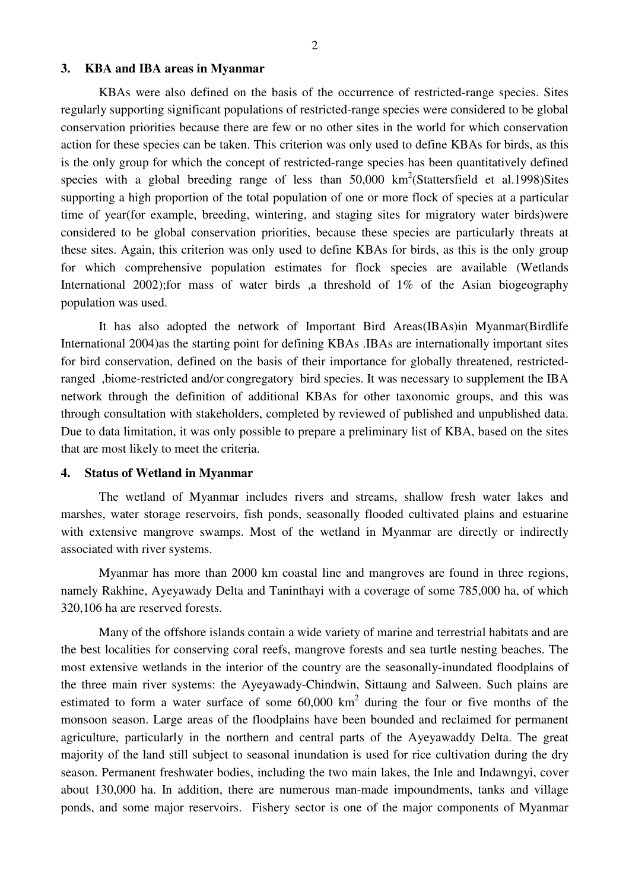## **3. KBA and IBA areas in Myanmar**

KBAs were also defined on the basis of the occurrence of restricted-range species. Sites regularly supporting significant populations of restricted-range species were considered to be global conservation priorities because there are few or no other sites in the world for which conservation action for these species can be taken. This criterion was only used to define KBAs for birds, as this is the only group for which the concept of restricted-range species has been quantitatively defined species with a global breeding range of less than  $50,000 \text{ km}^2$  (Stattersfield et al.1998) Sites supporting a high proportion of the total population of one or more flock of species at a particular time of year(for example, breeding, wintering, and staging sites for migratory water birds)were considered to be global conservation priorities, because these species are particularly threats at these sites. Again, this criterion was only used to define KBAs for birds, as this is the only group for which comprehensive population estimates for flock species are available (Wetlands International 2002);for mass of water birds ,a threshold of 1% of the Asian biogeography population was used.

It has also adopted the network of Important Bird Areas(IBAs)in Myanmar(Birdlife International 2004)as the starting point for defining KBAs .IBAs are internationally important sites for bird conservation, defined on the basis of their importance for globally threatened, restrictedranged ,biome-restricted and/or congregatory bird species. It was necessary to supplement the IBA network through the definition of additional KBAs for other taxonomic groups, and this was through consultation with stakeholders, completed by reviewed of published and unpublished data. Due to data limitation, it was only possible to prepare a preliminary list of KBA, based on the sites that are most likely to meet the criteria.

#### **4. Status of Wetland in Myanmar**

 The wetland of Myanmar includes rivers and streams, shallow fresh water lakes and marshes, water storage reservoirs, fish ponds, seasonally flooded cultivated plains and estuarine with extensive mangrove swamps. Most of the wetland in Myanmar are directly or indirectly associated with river systems.

 Myanmar has more than 2000 km coastal line and mangroves are found in three regions, namely Rakhine, Ayeyawady Delta and Taninthayi with a coverage of some 785,000 ha, of which 320,106 ha are reserved forests.

 Many of the offshore islands contain a wide variety of marine and terrestrial habitats and are the best localities for conserving coral reefs, mangrove forests and sea turtle nesting beaches. The most extensive wetlands in the interior of the country are the seasonally-inundated floodplains of the three main river systems: the Ayeyawady-Chindwin, Sittaung and Salween. Such plains are estimated to form a water surface of some  $60,000 \text{ km}^2$  during the four or five months of the monsoon season. Large areas of the floodplains have been bounded and reclaimed for permanent agriculture, particularly in the northern and central parts of the Ayeyawaddy Delta. The great majority of the land still subject to seasonal inundation is used for rice cultivation during the dry season. Permanent freshwater bodies, including the two main lakes, the Inle and Indawngyi, cover about 130,000 ha. In addition, there are numerous man-made impoundments, tanks and village ponds, and some major reservoirs. Fishery sector is one of the major components of Myanmar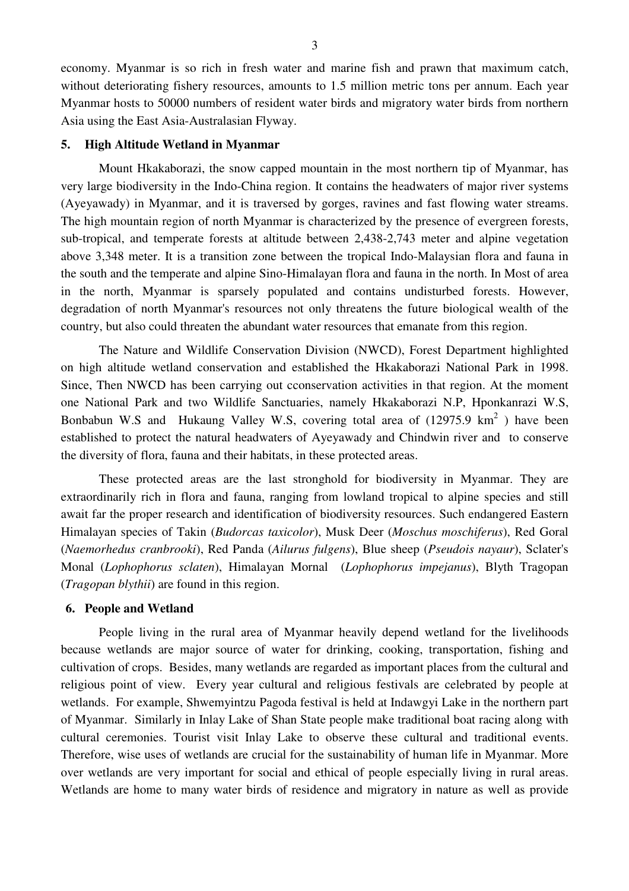economy. Myanmar is so rich in fresh water and marine fish and prawn that maximum catch, without deteriorating fishery resources, amounts to 1.5 million metric tons per annum. Each year Myanmar hosts to 50000 numbers of resident water birds and migratory water birds from northern Asia using the East Asia-Australasian Flyway.

## **5. High Altitude Wetland in Myanmar**

 Mount Hkakaborazi, the snow capped mountain in the most northern tip of Myanmar, has very large biodiversity in the Indo-China region. It contains the headwaters of major river systems (Ayeyawady) in Myanmar, and it is traversed by gorges, ravines and fast flowing water streams. The high mountain region of north Myanmar is characterized by the presence of evergreen forests, sub-tropical, and temperate forests at altitude between 2,438-2,743 meter and alpine vegetation above 3,348 meter. It is a transition zone between the tropical Indo-Malaysian flora and fauna in the south and the temperate and alpine Sino-Himalayan flora and fauna in the north. In Most of area in the north, Myanmar is sparsely populated and contains undisturbed forests. However, degradation of north Myanmar's resources not only threatens the future biological wealth of the country, but also could threaten the abundant water resources that emanate from this region.

 The Nature and Wildlife Conservation Division (NWCD), Forest Department highlighted on high altitude wetland conservation and established the Hkakaborazi National Park in 1998. Since, Then NWCD has been carrying out cconservation activities in that region. At the moment one National Park and two Wildlife Sanctuaries, namely Hkakaborazi N.P, Hponkanrazi W.S, Bonbabun W.S and Hukaung Valley W.S, covering total area of  $(12975.9 \text{ km}^2)$  have been established to protect the natural headwaters of Ayeyawady and Chindwin river and to conserve the diversity of flora, fauna and their habitats, in these protected areas.

 These protected areas are the last stronghold for biodiversity in Myanmar. They are extraordinarily rich in flora and fauna, ranging from lowland tropical to alpine species and still await far the proper research and identification of biodiversity resources. Such endangered Eastern Himalayan species of Takin (*Budorcas taxicolor*), Musk Deer (*Moschus moschiferus*), Red Goral (*Naemorhedus cranbrooki*), Red Panda (*Ailurus fulgens*), Blue sheep (*Pseudois nayaur*), Sclater's Monal (*Lophophorus sclaten*), Himalayan Mornal (*Lophophorus impejanus*), Blyth Tragopan (*Tragopan blythii*) are found in this region.

#### **6. People and Wetland**

 People living in the rural area of Myanmar heavily depend wetland for the livelihoods because wetlands are major source of water for drinking, cooking, transportation, fishing and cultivation of crops. Besides, many wetlands are regarded as important places from the cultural and religious point of view. Every year cultural and religious festivals are celebrated by people at wetlands. For example, Shwemyintzu Pagoda festival is held at Indawgyi Lake in the northern part of Myanmar. Similarly in Inlay Lake of Shan State people make traditional boat racing along with cultural ceremonies. Tourist visit Inlay Lake to observe these cultural and traditional events. Therefore, wise uses of wetlands are crucial for the sustainability of human life in Myanmar. More over wetlands are very important for social and ethical of people especially living in rural areas. Wetlands are home to many water birds of residence and migratory in nature as well as provide